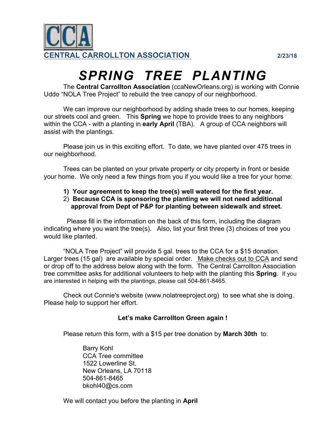

## *SPRING TREE PLANTING*

The **Central Carrollton Association** (ccaNewOrleans.org) is working with Connie Uddo "NOLA Tree Project" to rebuild the tree canopy of our neighborhood.

We can improve our neighborhood by adding shade trees to our homes, keeping our streets cool and green. This **Spring** we hope to provide trees to any neighbors within the CCA - with a planting in **early April** (TBA). A group of CCA neighbors will assist with the plantings.

Please join us in this exciting effort. To date, we have planted over 475 trees in our neighborhood.

Trees can be planted on your private property or city property in front or beside your home. We only need a few things from you if you would like a tree for your home:

- **1) Your agreement to keep the tree(s) well watered for the first year.**
- 2) **Because CCA is sponsoring the planting we will not need additional approval from Dept of P&P for planting between sidewalk and street.**

 Please fill in the information on the back of this form, including the diagram indicating where you want the tree(s). Also, list your first three (3) choices of tree you would like planted.

"NOLA Tree Project" will provide 5 gal. trees to the CCA for a \$15 donation. Larger trees (15 gal) are available by special order. Make checks out to CCA and send or drop off to the address below along with the form. The Central Carrollton Association tree committee asks for additional volunteers to help with the planting this **Spring**. If you are interested in helping with the plantings, please call 504-861-8465.

Check out Connie's website (www.nolatreeproject.org) to see what she is doing. Please help to support her effort.

## **Let's make Carrollton Green again !**

Please return this form, with a \$15 per tree donation by **March 30th** to:

Barry Kohl CCA Tree committee 1522 Lowerline St. New Orleans, LA 70118 504-861-8465 bkohl40@cs.com

We will contact you before the planting in **April**